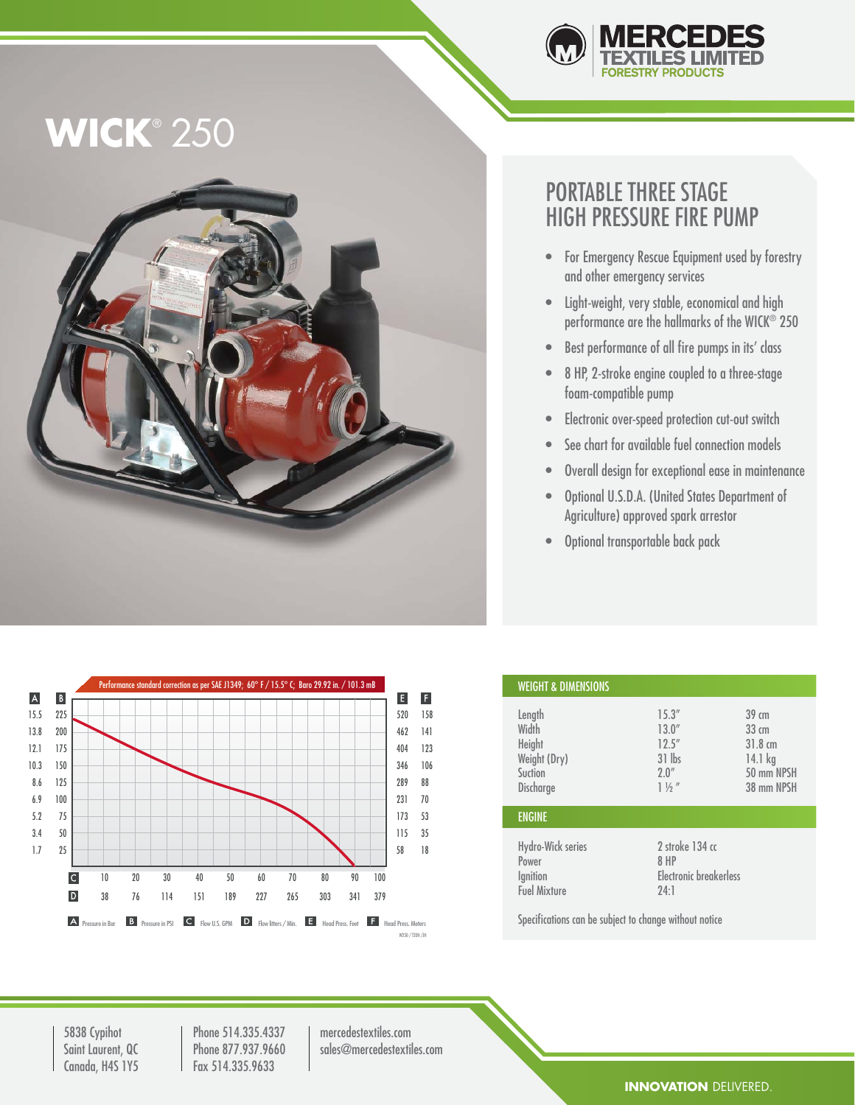

# **WICK**® 250



### PORTABLE THREE STAGE HIGH PRESSURE FIRE PUMP

- For Emergency Rescue Equipment used by forestry and other emergency services
- Light-weight, very stable, economical and high performance are the hallmarks of the WICK® 250
- Best performance of all fire pumps in its' class
- 8 HP, 2-stroke engine coupled to a three-stage foam-compatible pump
- Electronic over-speed protection cut-out switch
- See chart for available fuel connection models
- Overall design for exceptional ease in maintenance
- Optional U.S.D.A. (United States Department of Agriculture) approved spark arrestor
- Optional transportable back pack



| <b>WEIGHT &amp; DIMENSIONS</b>                                    |                                                                   |                                                                                                      |
|-------------------------------------------------------------------|-------------------------------------------------------------------|------------------------------------------------------------------------------------------------------|
| Length<br>Width<br>Height<br>Weight (Dry)<br>Suction<br>Discharge | 15.3''<br>13.0''<br>12.5''<br>$31$ lbs<br>2.0''<br>$1\frac{1}{2}$ | $39 \, \text{cm}$<br>$33 \, \text{cm}$<br>$31.8 \text{ cm}$<br>$14.1$ kg<br>50 mm NPSH<br>38 mm NPSH |
| <b>ENGINE</b>                                                     |                                                                   |                                                                                                      |
| Hydro-Wick series<br>Power<br>Ignition<br><b>Fuel Mixture</b>     | 2 stroke 134 cc<br>8 HP<br>Electronic breakerless<br>24:1         |                                                                                                      |

Specifications can be subject to change without notice

5838 Cypihot Saint Laurent, QC Canada, H4S 1Y5

Phone 514.335.4337 Phone 877.937.9660 Fax 514.335.9633

mercedestextiles.com sales@mercedestextiles.com

#### **INNOVATION** DELIVERED.